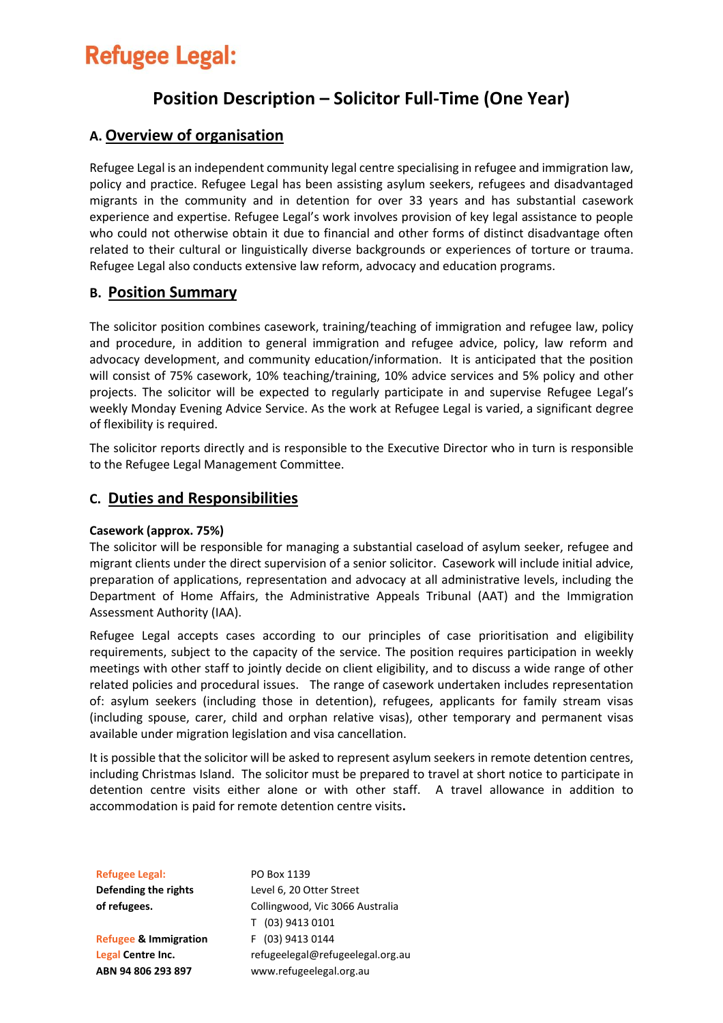# **Refugee Legal:**

## **Position Description – Solicitor Full-Time (One Year)**

## **A. Overview of organisation**

Refugee Legal is an independent community legal centre specialising in refugee and immigration law, policy and practice. Refugee Legal has been assisting asylum seekers, refugees and disadvantaged migrants in the community and in detention for over 33 years and has substantial casework experience and expertise. Refugee Legal's work involves provision of key legal assistance to people who could not otherwise obtain it due to financial and other forms of distinct disadvantage often related to their cultural or linguistically diverse backgrounds or experiences of torture or trauma. Refugee Legal also conducts extensive law reform, advocacy and education programs.

## **B. Position Summary**

The solicitor position combines casework, training/teaching of immigration and refugee law, policy and procedure, in addition to general immigration and refugee advice, policy, law reform and advocacy development, and community education/information. It is anticipated that the position will consist of 75% casework, 10% teaching/training, 10% advice services and 5% policy and other projects. The solicitor will be expected to regularly participate in and supervise Refugee Legal's weekly Monday Evening Advice Service. As the work at Refugee Legal is varied, a significant degree of flexibility is required.

The solicitor reports directly and is responsible to the Executive Director who in turn is responsible to the Refugee Legal Management Committee.

## **C. Duties and Responsibilities**

#### **Casework (approx. 75%)**

The solicitor will be responsible for managing a substantial caseload of asylum seeker, refugee and migrant clients under the direct supervision of a senior solicitor. Casework will include initial advice, preparation of applications, representation and advocacy at all administrative levels, including the Department of Home Affairs, the Administrative Appeals Tribunal (AAT) and the Immigration Assessment Authority (IAA).

Refugee Legal accepts cases according to our principles of case prioritisation and eligibility requirements, subject to the capacity of the service. The position requires participation in weekly meetings with other staff to jointly decide on client eligibility, and to discuss a wide range of other related policies and procedural issues. The range of casework undertaken includes representation of: asylum seekers (including those in detention), refugees, applicants for family stream visas (including spouse, carer, child and orphan relative visas), other temporary and permanent visas available under migration legislation and visa cancellation.

It is possible that the solicitor will be asked to represent asylum seekers in remote detention centres, including Christmas Island. The solicitor must be prepared to travel at short notice to participate in detention centre visits either alone or with other staff. A travel allowance in addition to accommodation is paid for remote detention centre visits**.**

**Refugee Legal: Defending the rights of refugees.**

**Refugee & Immigration Legal Centre Inc. ABN 94 806 293 897**

PO Box 1139 Level 6, 20 Otter Street Collingwood, Vic 3066 Australia T (03) 9413 0101 F (03) 9413 0144 refugeelegal@refugeelegal.org.au www.refugeelegal.org.au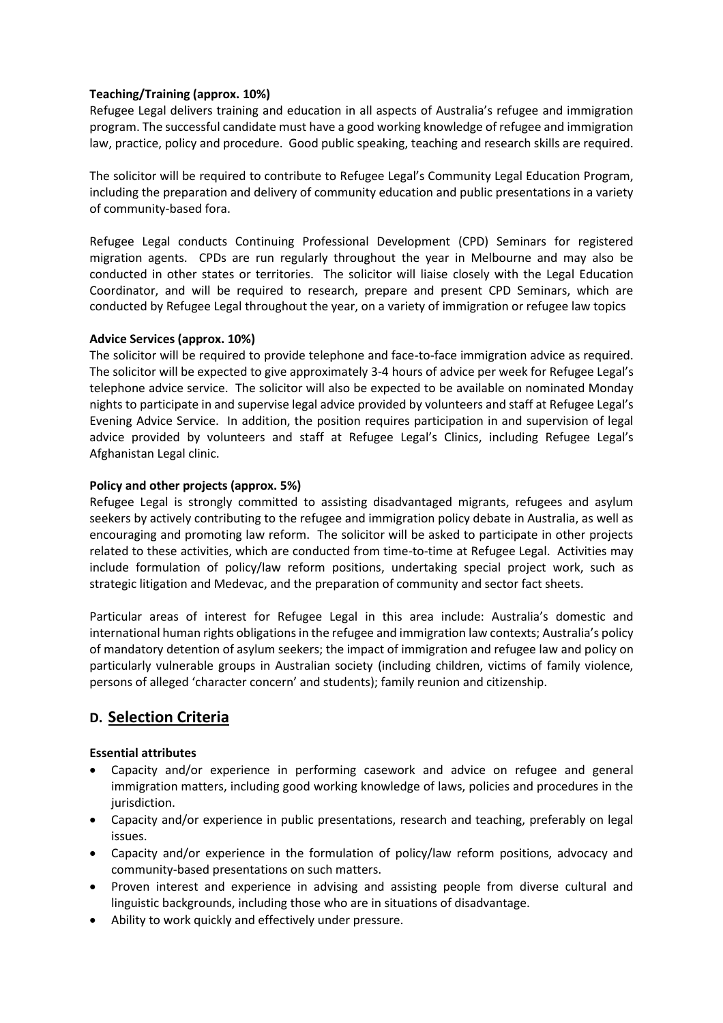#### **Teaching/Training (approx. 10%)**

Refugee Legal delivers training and education in all aspects of Australia's refugee and immigration program. The successful candidate must have a good working knowledge of refugee and immigration law, practice, policy and procedure. Good public speaking, teaching and research skills are required.

The solicitor will be required to contribute to Refugee Legal's Community Legal Education Program, including the preparation and delivery of community education and public presentations in a variety of community-based fora.

Refugee Legal conducts Continuing Professional Development (CPD) Seminars for registered migration agents. CPDs are run regularly throughout the year in Melbourne and may also be conducted in other states or territories. The solicitor will liaise closely with the Legal Education Coordinator, and will be required to research, prepare and present CPD Seminars, which are conducted by Refugee Legal throughout the year, on a variety of immigration or refugee law topics

#### **Advice Services (approx. 10%)**

The solicitor will be required to provide telephone and face-to-face immigration advice as required. The solicitor will be expected to give approximately 3-4 hours of advice per week for Refugee Legal's telephone advice service. The solicitor will also be expected to be available on nominated Monday nights to participate in and supervise legal advice provided by volunteers and staff at Refugee Legal's Evening Advice Service. In addition, the position requires participation in and supervision of legal advice provided by volunteers and staff at Refugee Legal's Clinics, including Refugee Legal's Afghanistan Legal clinic.

#### **Policy and other projects (approx. 5%)**

Refugee Legal is strongly committed to assisting disadvantaged migrants, refugees and asylum seekers by actively contributing to the refugee and immigration policy debate in Australia, as well as encouraging and promoting law reform. The solicitor will be asked to participate in other projects related to these activities, which are conducted from time-to-time at Refugee Legal. Activities may include formulation of policy/law reform positions, undertaking special project work, such as strategic litigation and Medevac, and the preparation of community and sector fact sheets.

Particular areas of interest for Refugee Legal in this area include: Australia's domestic and international human rights obligations in the refugee and immigration law contexts; Australia's policy of mandatory detention of asylum seekers; the impact of immigration and refugee law and policy on particularly vulnerable groups in Australian society (including children, victims of family violence, persons of alleged 'character concern' and students); family reunion and citizenship.

## **D. Selection Criteria**

#### **Essential attributes**

- Capacity and/or experience in performing casework and advice on refugee and general immigration matters, including good working knowledge of laws, policies and procedures in the jurisdiction.
- Capacity and/or experience in public presentations, research and teaching, preferably on legal issues.
- Capacity and/or experience in the formulation of policy/law reform positions, advocacy and community-based presentations on such matters.
- Proven interest and experience in advising and assisting people from diverse cultural and linguistic backgrounds, including those who are in situations of disadvantage.
- Ability to work quickly and effectively under pressure.